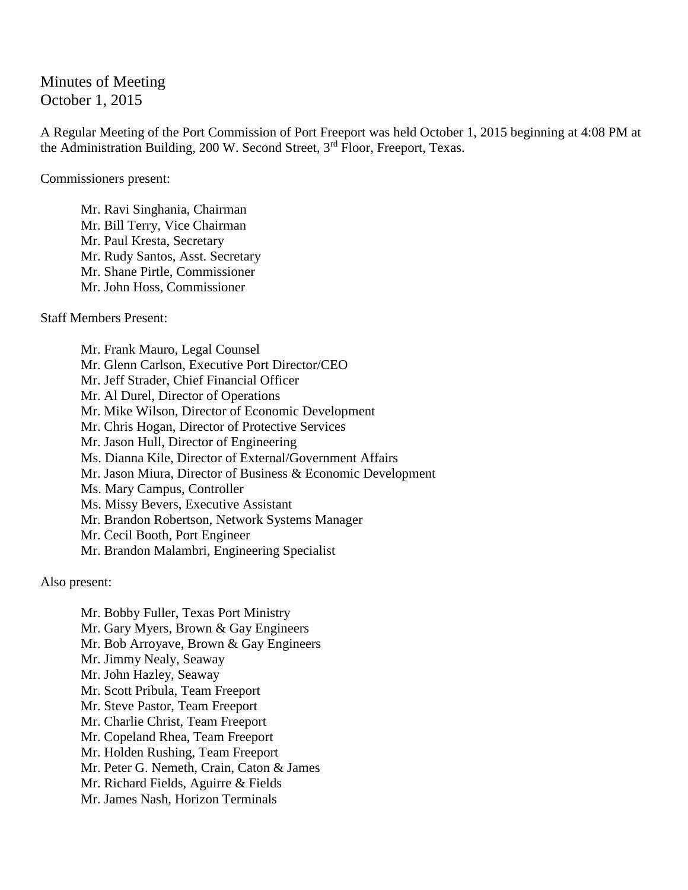Minutes of Meeting October 1, 2015

A Regular Meeting of the Port Commission of Port Freeport was held October 1, 2015 beginning at 4:08 PM at the Administration Building, 200 W. Second Street, 3rd Floor, Freeport, Texas.

Commissioners present:

Mr. Ravi Singhania, Chairman Mr. Bill Terry, Vice Chairman Mr. Paul Kresta, Secretary Mr. Rudy Santos, Asst. Secretary Mr. Shane Pirtle, Commissioner Mr. John Hoss, Commissioner

Staff Members Present:

Mr. Frank Mauro, Legal Counsel Mr. Glenn Carlson, Executive Port Director/CEO Mr. Jeff Strader, Chief Financial Officer Mr. Al Durel, Director of Operations Mr. Mike Wilson, Director of Economic Development Mr. Chris Hogan, Director of Protective Services Mr. Jason Hull, Director of Engineering Ms. Dianna Kile, Director of External/Government Affairs Mr. Jason Miura, Director of Business & Economic Development Ms. Mary Campus, Controller Ms. Missy Bevers, Executive Assistant Mr. Brandon Robertson, Network Systems Manager Mr. Cecil Booth, Port Engineer Mr. Brandon Malambri, Engineering Specialist

Also present:

Mr. Bobby Fuller, Texas Port Ministry Mr. Gary Myers, Brown & Gay Engineers Mr. Bob Arroyave, Brown & Gay Engineers Mr. Jimmy Nealy, Seaway Mr. John Hazley, Seaway Mr. Scott Pribula, Team Freeport Mr. Steve Pastor, Team Freeport Mr. Charlie Christ, Team Freeport Mr. Copeland Rhea, Team Freeport Mr. Holden Rushing, Team Freeport Mr. Peter G. Nemeth, Crain, Caton & James Mr. Richard Fields, Aguirre & Fields Mr. James Nash, Horizon Terminals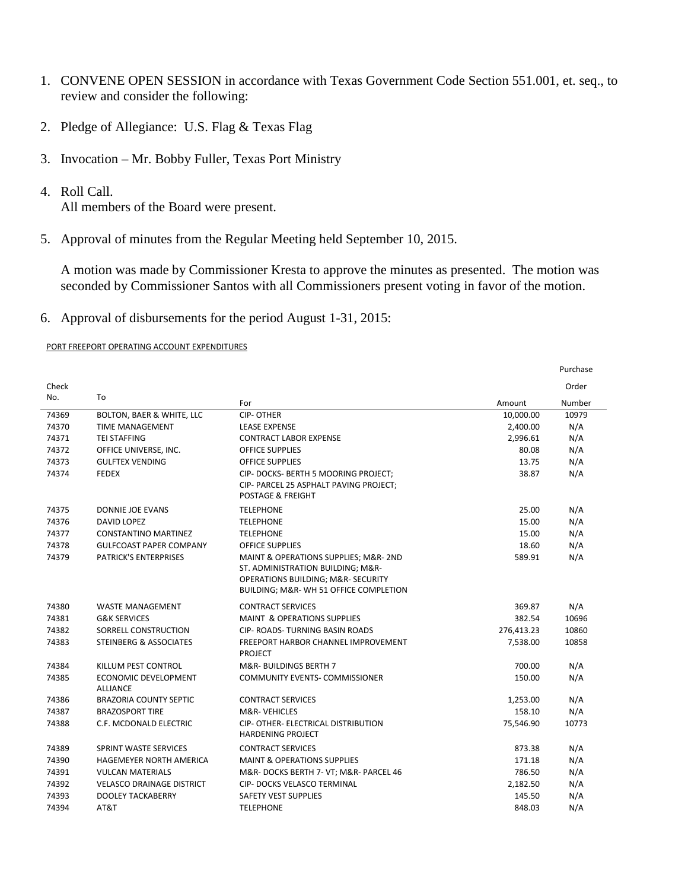- 1. CONVENE OPEN SESSION in accordance with Texas Government Code Section 551.001, et. seq., to review and consider the following:
- 2. Pledge of Allegiance: U.S. Flag & Texas Flag
- 3. Invocation Mr. Bobby Fuller, Texas Port Ministry
- 4. Roll Call.

All members of the Board were present.

5. Approval of minutes from the Regular Meeting held September 10, 2015.

A motion was made by Commissioner Kresta to approve the minutes as presented. The motion was seconded by Commissioner Santos with all Commissioners present voting in favor of the motion.

6. Approval of disbursements for the period August 1-31, 2015:

## PORT FREEPORT OPERATING ACCOUNT EXPENDITURES

|       |                                         |                                                                                                                                                           |            | Purchase |
|-------|-----------------------------------------|-----------------------------------------------------------------------------------------------------------------------------------------------------------|------------|----------|
| Check | To                                      |                                                                                                                                                           |            | Order    |
| No.   |                                         | For                                                                                                                                                       | Amount     | Number   |
| 74369 | BOLTON, BAER & WHITE, LLC               | <b>CIP-OTHER</b>                                                                                                                                          | 10,000.00  | 10979    |
| 74370 | <b>TIME MANAGEMENT</b>                  | <b>LEASE EXPENSE</b>                                                                                                                                      | 2,400.00   | N/A      |
| 74371 | <b>TEI STAFFING</b>                     | <b>CONTRACT LABOR EXPENSE</b>                                                                                                                             | 2,996.61   | N/A      |
| 74372 | OFFICE UNIVERSE, INC.                   | <b>OFFICE SUPPLIES</b>                                                                                                                                    | 80.08      | N/A      |
| 74373 | <b>GULFTEX VENDING</b>                  | <b>OFFICE SUPPLIES</b>                                                                                                                                    | 13.75      | N/A      |
| 74374 | <b>FEDEX</b>                            | CIP- DOCKS- BERTH 5 MOORING PROJECT;<br>CIP- PARCEL 25 ASPHALT PAVING PROJECT;<br><b>POSTAGE &amp; FREIGHT</b>                                            | 38.87      | N/A      |
| 74375 | DONNIE JOE EVANS                        | <b>TELEPHONE</b>                                                                                                                                          | 25.00      | N/A      |
| 74376 | DAVID LOPEZ                             | <b>TELEPHONE</b>                                                                                                                                          | 15.00      | N/A      |
| 74377 | <b>CONSTANTINO MARTINEZ</b>             | <b>TELEPHONE</b>                                                                                                                                          | 15.00      | N/A      |
| 74378 | <b>GULFCOAST PAPER COMPANY</b>          | <b>OFFICE SUPPLIES</b>                                                                                                                                    | 18.60      | N/A      |
| 74379 | <b>PATRICK'S ENTERPRISES</b>            | MAINT & OPERATIONS SUPPLIES; M&R- 2ND<br>ST. ADMINISTRATION BUILDING; M&R-<br>OPERATIONS BUILDING; M&R- SECURITY<br>BUILDING; M&R-WH 51 OFFICE COMPLETION | 589.91     | N/A      |
| 74380 | <b>WASTE MANAGEMENT</b>                 | <b>CONTRACT SERVICES</b>                                                                                                                                  | 369.87     | N/A      |
| 74381 | <b>G&amp;K SERVICES</b>                 | <b>MAINT &amp; OPERATIONS SUPPLIES</b>                                                                                                                    | 382.54     | 10696    |
| 74382 | SORRELL CONSTRUCTION                    | <b>CIP- ROADS- TURNING BASIN ROADS</b>                                                                                                                    | 276,413.23 | 10860    |
| 74383 | STEINBERG & ASSOCIATES                  | FREEPORT HARBOR CHANNEL IMPROVEMENT<br><b>PROJECT</b>                                                                                                     | 7,538.00   | 10858    |
| 74384 | KILLUM PEST CONTROL                     | <b>M&amp;R- BUILDINGS BERTH 7</b>                                                                                                                         | 700.00     | N/A      |
| 74385 | ECONOMIC DEVELOPMENT<br><b>ALLIANCE</b> | <b>COMMUNITY EVENTS- COMMISSIONER</b>                                                                                                                     | 150.00     | N/A      |
| 74386 | <b>BRAZORIA COUNTY SEPTIC</b>           | <b>CONTRACT SERVICES</b>                                                                                                                                  | 1,253.00   | N/A      |
| 74387 | <b>BRAZOSPORT TIRE</b>                  | <b>M&amp;R-VEHICLES</b>                                                                                                                                   | 158.10     | N/A      |
| 74388 | C.F. MCDONALD ELECTRIC                  | CIP- OTHER- ELECTRICAL DISTRIBUTION<br><b>HARDENING PROJECT</b>                                                                                           | 75,546.90  | 10773    |
| 74389 | SPRINT WASTE SERVICES                   | <b>CONTRACT SERVICES</b>                                                                                                                                  | 873.38     | N/A      |
| 74390 | HAGEMEYER NORTH AMERICA                 | <b>MAINT &amp; OPERATIONS SUPPLIES</b>                                                                                                                    | 171.18     | N/A      |
| 74391 | <b>VULCAN MATERIALS</b>                 | M&R-DOCKS BERTH 7- VT; M&R- PARCEL 46                                                                                                                     | 786.50     | N/A      |
| 74392 | <b>VELASCO DRAINAGE DISTRICT</b>        | CIP- DOCKS VELASCO TERMINAL                                                                                                                               | 2,182.50   | N/A      |
| 74393 | <b>DOOLEY TACKABERRY</b>                | <b>SAFETY VEST SUPPLIES</b>                                                                                                                               | 145.50     | N/A      |
| 74394 | AT&T                                    | <b>TELEPHONE</b>                                                                                                                                          | 848.03     | N/A      |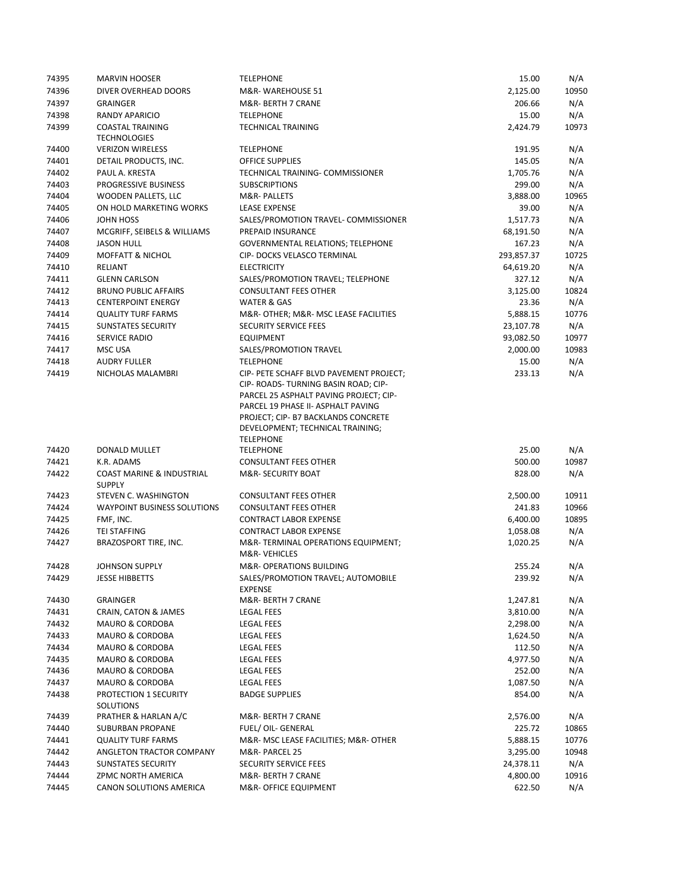| 74395          | <b>MARVIN HOOSER</b>                                               | <b>TELEPHONE</b>                                                                                                                                                                                                                           | 15.00              | N/A          |
|----------------|--------------------------------------------------------------------|--------------------------------------------------------------------------------------------------------------------------------------------------------------------------------------------------------------------------------------------|--------------------|--------------|
| 74396          | DIVER OVERHEAD DOORS                                               | M&R-WAREHOUSE 51                                                                                                                                                                                                                           | 2,125.00           | 10950        |
| 74397          | <b>GRAINGER</b>                                                    | M&R- BERTH 7 CRANE                                                                                                                                                                                                                         | 206.66             | N/A          |
| 74398          | <b>RANDY APARICIO</b>                                              | <b>TELEPHONE</b>                                                                                                                                                                                                                           | 15.00              | N/A          |
| 74399          | <b>COASTAL TRAINING</b><br><b>TECHNOLOGIES</b>                     | <b>TECHNICAL TRAINING</b>                                                                                                                                                                                                                  | 2,424.79           | 10973        |
| 74400          | <b>VERIZON WIRELESS</b>                                            | <b>TELEPHONE</b>                                                                                                                                                                                                                           | 191.95             | N/A          |
| 74401          | DETAIL PRODUCTS, INC.                                              | <b>OFFICE SUPPLIES</b>                                                                                                                                                                                                                     | 145.05             | N/A          |
| 74402          | PAUL A. KRESTA                                                     | TECHNICAL TRAINING- COMMISSIONER                                                                                                                                                                                                           | 1,705.76           | N/A          |
| 74403          | PROGRESSIVE BUSINESS                                               | <b>SUBSCRIPTIONS</b>                                                                                                                                                                                                                       | 299.00             | N/A          |
| 74404          | WOODEN PALLETS, LLC                                                | M&R-PALLETS                                                                                                                                                                                                                                | 3,888.00           | 10965        |
| 74405          | ON HOLD MARKETING WORKS                                            | <b>LEASE EXPENSE</b>                                                                                                                                                                                                                       | 39.00              | N/A          |
| 74406          | JOHN HOSS                                                          | SALES/PROMOTION TRAVEL- COMMISSIONER                                                                                                                                                                                                       | 1,517.73           | N/A          |
| 74407          | MCGRIFF, SEIBELS & WILLIAMS                                        | PREPAID INSURANCE                                                                                                                                                                                                                          | 68,191.50          | N/A          |
| 74408          | <b>JASON HULL</b>                                                  | <b>GOVERNMENTAL RELATIONS; TELEPHONE</b>                                                                                                                                                                                                   | 167.23             | N/A          |
| 74409          | <b>MOFFATT &amp; NICHOL</b>                                        | CIP- DOCKS VELASCO TERMINAL                                                                                                                                                                                                                | 293,857.37         | 10725        |
| 74410          | <b>RELIANT</b>                                                     | <b>ELECTRICITY</b>                                                                                                                                                                                                                         | 64,619.20          | N/A          |
| 74411          | <b>GLENN CARLSON</b>                                               | SALES/PROMOTION TRAVEL; TELEPHONE                                                                                                                                                                                                          | 327.12             | N/A          |
| 74412          | <b>BRUNO PUBLIC AFFAIRS</b>                                        | <b>CONSULTANT FEES OTHER</b>                                                                                                                                                                                                               | 3,125.00           | 10824        |
| 74413          | <b>CENTERPOINT ENERGY</b>                                          | <b>WATER &amp; GAS</b>                                                                                                                                                                                                                     | 23.36              | N/A          |
| 74414          | <b>QUALITY TURF FARMS</b>                                          | M&R-OTHER M&R-MSC LEASE FACILITIES                                                                                                                                                                                                         | 5,888.15           | 10776        |
| 74415          | <b>SUNSTATES SECURITY</b>                                          | <b>SECURITY SERVICE FEES</b>                                                                                                                                                                                                               | 23,107.78          | N/A          |
| 74416          | SERVICE RADIO                                                      | <b>EQUIPMENT</b>                                                                                                                                                                                                                           | 93,082.50          | 10977        |
| 74417          | <b>MSC USA</b>                                                     | SALES/PROMOTION TRAVEL                                                                                                                                                                                                                     | 2,000.00           | 10983        |
| 74418          | <b>AUDRY FULLER</b>                                                | <b>TELEPHONE</b>                                                                                                                                                                                                                           | 15.00              | N/A          |
| 74419          | NICHOLAS MALAMBRI                                                  | CIP- PETE SCHAFF BLVD PAVEMENT PROJECT;<br>CIP- ROADS- TURNING BASIN ROAD; CIP-<br>PARCEL 25 ASPHALT PAVING PROJECT; CIP-<br>PARCEL 19 PHASE II- ASPHALT PAVING<br>PROJECT; CIP- B7 BACKLANDS CONCRETE<br>DEVELOPMENT; TECHNICAL TRAINING; | 233.13             | N/A          |
|                |                                                                    | <b>TELEPHONE</b>                                                                                                                                                                                                                           |                    |              |
| 74420          | DONALD MULLET                                                      | <b>TELEPHONE</b>                                                                                                                                                                                                                           | 25.00              | N/A          |
| 74421          | K.R. ADAMS                                                         | <b>CONSULTANT FEES OTHER</b>                                                                                                                                                                                                               | 500.00             | 10987        |
| 74422          | COAST MARINE & INDUSTRIAL<br><b>SUPPLY</b><br>STEVEN C. WASHINGTON | <b>M&amp;R- SECURITY BOAT</b>                                                                                                                                                                                                              | 828.00             | N/A<br>10911 |
| 74423<br>74424 | <b>WAYPOINT BUSINESS SOLUTIONS</b>                                 | <b>CONSULTANT FEES OTHER</b>                                                                                                                                                                                                               | 2,500.00<br>241.83 | 10966        |
| 74425          | FMF, INC.                                                          | <b>CONSULTANT FEES OTHER</b><br><b>CONTRACT LABOR EXPENSE</b>                                                                                                                                                                              | 6,400.00           | 10895        |
| 74426          | <b>TEI STAFFING</b>                                                | <b>CONTRACT LABOR EXPENSE</b>                                                                                                                                                                                                              | 1,058.08           | N/A          |
| 74427          | BRAZOSPORT TIRE, INC.                                              | M&R-TERMINAL OPERATIONS EQUIPMENT;<br>M&R-VEHICLES                                                                                                                                                                                         | 1,020.25           | N/A          |
| 74428          | <b>JOHNSON SUPPLY</b>                                              | <b>M&amp;R- OPERATIONS BUILDING</b>                                                                                                                                                                                                        | 255.24             | N/A          |
| 74429          | <b>JESSE HIBBETTS</b>                                              | SALES/PROMOTION TRAVEL; AUTOMOBILE<br><b>EXPENSE</b>                                                                                                                                                                                       | 239.92             | N/A          |
| 74430          | <b>GRAINGER</b>                                                    | M&R- BERTH 7 CRANE                                                                                                                                                                                                                         | 1,247.81           | N/A          |
| 74431          | CRAIN, CATON & JAMES                                               | <b>LEGAL FEES</b>                                                                                                                                                                                                                          | 3,810.00           | N/A          |
| 74432          | <b>MAURO &amp; CORDOBA</b>                                         | LEGAL FEES                                                                                                                                                                                                                                 | 2,298.00           | N/A          |
| 74433          | <b>MAURO &amp; CORDOBA</b>                                         | LEGAL FEES                                                                                                                                                                                                                                 | 1,624.50           | N/A          |
| 74434          | MAURO & CORDOBA                                                    | LEGAL FEES                                                                                                                                                                                                                                 | 112.50             | N/A          |
| 74435          | MAURO & CORDOBA                                                    | <b>LEGAL FEES</b>                                                                                                                                                                                                                          | 4,977.50           | N/A          |
| 74436          | MAURO & CORDOBA                                                    | LEGAL FEES                                                                                                                                                                                                                                 | 252.00             | N/A          |
| 74437          | MAURO & CORDOBA                                                    | LEGAL FEES                                                                                                                                                                                                                                 | 1,087.50           | N/A          |
| 74438          | PROTECTION 1 SECURITY<br>SOLUTIONS                                 | <b>BADGE SUPPLIES</b>                                                                                                                                                                                                                      | 854.00             | N/A          |
| 74439          | PRATHER & HARLAN A/C                                               | M&R- BERTH 7 CRANE                                                                                                                                                                                                                         | 2,576.00           | N/A          |
| 74440          | SUBURBAN PROPANE                                                   | FUEL/ OIL- GENERAL                                                                                                                                                                                                                         | 225.72             | 10865        |
| 74441          | <b>QUALITY TURF FARMS</b>                                          | M&R- MSC LEASE FACILITIES; M&R- OTHER                                                                                                                                                                                                      | 5,888.15           | 10776        |
| 74442          | ANGLETON TRACTOR COMPANY                                           | M&R- PARCEL 25                                                                                                                                                                                                                             | 3,295.00           | 10948        |
| 74443          | SUNSTATES SECURITY                                                 | SECURITY SERVICE FEES                                                                                                                                                                                                                      | 24,378.11          | N/A          |
| 74444          | ZPMC NORTH AMERICA                                                 | M&R- BERTH 7 CRANE                                                                                                                                                                                                                         | 4,800.00           | 10916        |
| 74445          | CANON SOLUTIONS AMERICA                                            | M&R- OFFICE EQUIPMENT                                                                                                                                                                                                                      | 622.50             | N/A          |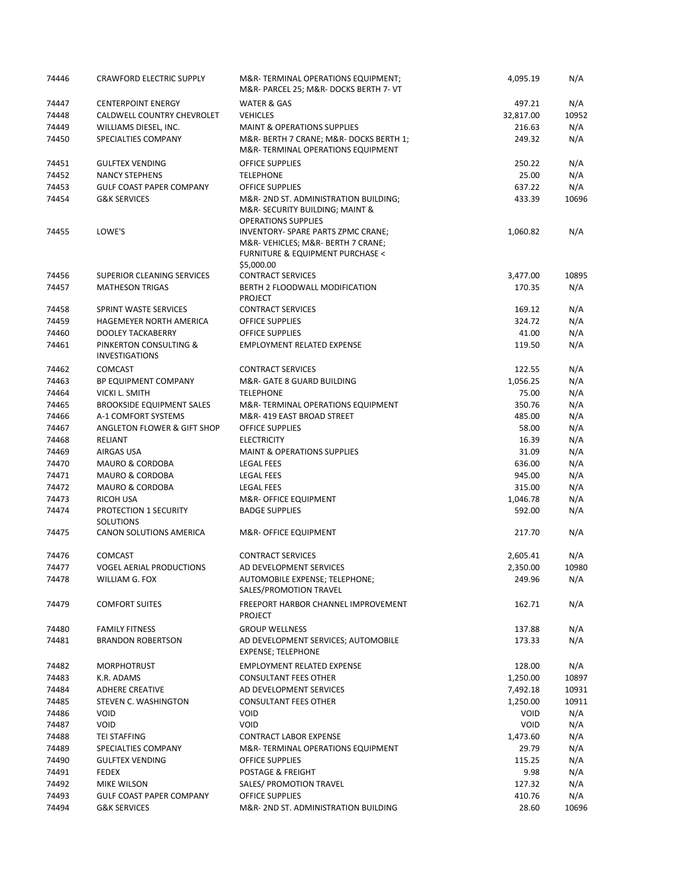| 74446 | <b>CRAWFORD ELECTRIC SUPPLY</b>                 | M&R-TERMINAL OPERATIONS EQUIPMENT;<br>M&R- PARCEL 25; M&R- DOCKS BERTH 7- VT                                             | 4,095.19  | N/A   |
|-------|-------------------------------------------------|--------------------------------------------------------------------------------------------------------------------------|-----------|-------|
| 74447 | <b>CENTERPOINT ENERGY</b>                       | <b>WATER &amp; GAS</b>                                                                                                   | 497.21    | N/A   |
| 74448 | CALDWELL COUNTRY CHEVROLET                      | <b>VEHICLES</b>                                                                                                          | 32,817.00 | 10952 |
| 74449 | WILLIAMS DIESEL, INC.                           | <b>MAINT &amp; OPERATIONS SUPPLIES</b>                                                                                   | 216.63    | N/A   |
| 74450 | SPECIALTIES COMPANY                             | M&R- BERTH 7 CRANE; M&R- DOCKS BERTH 1;<br>M&R-TERMINAL OPERATIONS EQUIPMENT                                             | 249.32    | N/A   |
| 74451 | <b>GULFTEX VENDING</b>                          | <b>OFFICE SUPPLIES</b>                                                                                                   | 250.22    | N/A   |
| 74452 | <b>NANCY STEPHENS</b>                           | <b>TELEPHONE</b>                                                                                                         | 25.00     | N/A   |
| 74453 | <b>GULF COAST PAPER COMPANY</b>                 | <b>OFFICE SUPPLIES</b>                                                                                                   | 637.22    | N/A   |
| 74454 | <b>G&amp;K SERVICES</b>                         | M&R- 2ND ST. ADMINISTRATION BUILDING;<br>M&R- SECURITY BUILDING; MAINT &<br><b>OPERATIONS SUPPLIES</b>                   | 433.39    | 10696 |
| 74455 | LOWE'S                                          | INVENTORY- SPARE PARTS ZPMC CRANE;<br>M&R-VEHICLES M&R- BERTH 7 CRANE;<br>FURNITURE & EQUIPMENT PURCHASE <<br>\$5,000.00 | 1,060.82  | N/A   |
| 74456 | SUPERIOR CLEANING SERVICES                      | <b>CONTRACT SERVICES</b>                                                                                                 | 3,477.00  | 10895 |
| 74457 | <b>MATHESON TRIGAS</b>                          | BERTH 2 FLOODWALL MODIFICATION<br><b>PROJECT</b>                                                                         | 170.35    | N/A   |
| 74458 | SPRINT WASTE SERVICES                           | <b>CONTRACT SERVICES</b>                                                                                                 | 169.12    | N/A   |
| 74459 | HAGEMEYER NORTH AMERICA                         | <b>OFFICE SUPPLIES</b>                                                                                                   | 324.72    | N/A   |
| 74460 | <b>DOOLEY TACKABERRY</b>                        | <b>OFFICE SUPPLIES</b>                                                                                                   | 41.00     | N/A   |
| 74461 | PINKERTON CONSULTING &<br><b>INVESTIGATIONS</b> | <b>EMPLOYMENT RELATED EXPENSE</b>                                                                                        | 119.50    | N/A   |
| 74462 | <b>COMCAST</b>                                  | <b>CONTRACT SERVICES</b>                                                                                                 | 122.55    | N/A   |
| 74463 | BP EQUIPMENT COMPANY                            | M&R- GATE 8 GUARD BUILDING                                                                                               | 1,056.25  | N/A   |
| 74464 | VICKI L. SMITH                                  | <b>TELEPHONE</b>                                                                                                         | 75.00     | N/A   |
| 74465 | <b>BROOKSIDE EQUIPMENT SALES</b>                | M&R-TERMINAL OPERATIONS EQUIPMENT                                                                                        | 350.76    | N/A   |
| 74466 | A-1 COMFORT SYSTEMS                             | M&R-419 EAST BROAD STREET                                                                                                | 485.00    | N/A   |
| 74467 | ANGLETON FLOWER & GIFT SHOP                     | <b>OFFICE SUPPLIES</b>                                                                                                   | 58.00     | N/A   |
| 74468 | <b>RELIANT</b>                                  | <b>ELECTRICITY</b>                                                                                                       | 16.39     | N/A   |
| 74469 | AIRGAS USA                                      | <b>MAINT &amp; OPERATIONS SUPPLIES</b>                                                                                   | 31.09     | N/A   |
| 74470 | MAURO & CORDOBA                                 | <b>LEGAL FEES</b>                                                                                                        | 636.00    | N/A   |
| 74471 | <b>MAURO &amp; CORDOBA</b>                      | <b>LEGAL FEES</b>                                                                                                        | 945.00    | N/A   |
| 74472 | <b>MAURO &amp; CORDOBA</b>                      | <b>LEGAL FEES</b>                                                                                                        | 315.00    | N/A   |
| 74473 | RICOH USA                                       | M&R- OFFICE EQUIPMENT                                                                                                    | 1,046.78  | N/A   |
| 74474 | PROTECTION 1 SECURITY<br><b>SOLUTIONS</b>       | <b>BADGE SUPPLIES</b>                                                                                                    | 592.00    | N/A   |
| 74475 | CANON SOLUTIONS AMERICA                         | M&R- OFFICE EQUIPMENT                                                                                                    | 217.70    | N/A   |
| 74476 | <b>COMCAST</b>                                  | <b>CONTRACT SERVICES</b>                                                                                                 | 2,605.41  | N/A   |
| 74477 | <b>VOGEL AERIAL PRODUCTIONS</b>                 | AD DEVELOPMENT SERVICES                                                                                                  | 2,350.00  | 10980 |
| 74478 | WILLIAM G. FOX                                  | AUTOMOBILE EXPENSE; TELEPHONE;<br>SALES/PROMOTION TRAVEL                                                                 | 249.96    | N/A   |
| 74479 | <b>COMFORT SUITES</b>                           | FREEPORT HARBOR CHANNEL IMPROVEMENT<br><b>PROJECT</b>                                                                    | 162.71    | N/A   |
| 74480 | <b>FAMILY FITNESS</b>                           | <b>GROUP WELLNESS</b>                                                                                                    | 137.88    | N/A   |
| 74481 | <b>BRANDON ROBERTSON</b>                        | AD DEVELOPMENT SERVICES; AUTOMOBILE<br><b>EXPENSE; TELEPHONE</b>                                                         | 173.33    | N/A   |
| 74482 | <b>MORPHOTRUST</b>                              | <b>EMPLOYMENT RELATED EXPENSE</b>                                                                                        | 128.00    | N/A   |
| 74483 | K.R. ADAMS                                      | <b>CONSULTANT FEES OTHER</b>                                                                                             | 1,250.00  | 10897 |
| 74484 | <b>ADHERE CREATIVE</b>                          | AD DEVELOPMENT SERVICES                                                                                                  | 7,492.18  | 10931 |
| 74485 | STEVEN C. WASHINGTON                            | <b>CONSULTANT FEES OTHER</b>                                                                                             | 1,250.00  | 10911 |
| 74486 | VOID                                            | <b>VOID</b>                                                                                                              | VOID      | N/A   |
| 74487 | <b>VOID</b>                                     | <b>VOID</b>                                                                                                              | VOID      | N/A   |
| 74488 | <b>TEI STAFFING</b>                             | <b>CONTRACT LABOR EXPENSE</b>                                                                                            | 1,473.60  | N/A   |
| 74489 | SPECIALTIES COMPANY                             | M&R-TERMINAL OPERATIONS EQUIPMENT                                                                                        | 29.79     | N/A   |
| 74490 | <b>GULFTEX VENDING</b>                          | <b>OFFICE SUPPLIES</b>                                                                                                   | 115.25    | N/A   |
| 74491 | <b>FEDEX</b>                                    | POSTAGE & FREIGHT                                                                                                        | 9.98      | N/A   |
| 74492 | <b>MIKE WILSON</b>                              | SALES/ PROMOTION TRAVEL                                                                                                  | 127.32    | N/A   |
| 74493 | GULF COAST PAPER COMPANY                        | OFFICE SUPPLIES                                                                                                          | 410.76    | N/A   |
| 74494 | <b>G&amp;K SERVICES</b>                         | M&R-2ND ST. ADMINISTRATION BUILDING                                                                                      | 28.60     | 10696 |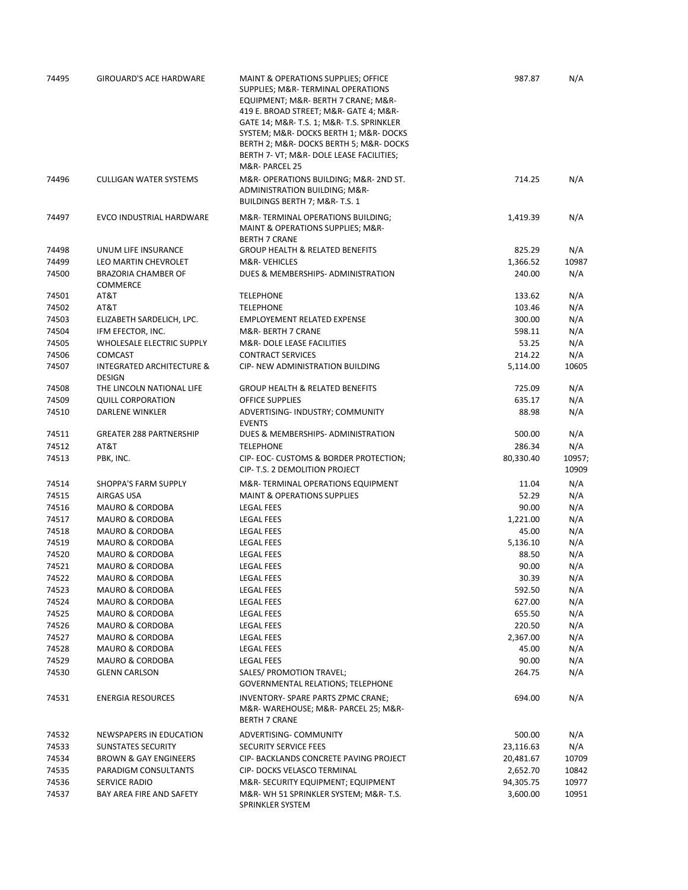| 74495 | <b>GIROUARD'S ACE HARDWARE</b>                        | MAINT & OPERATIONS SUPPLIES; OFFICE<br>SUPPLIES; M&R-TERMINAL OPERATIONS<br>EQUIPMENT; M&R- BERTH 7 CRANE; M&R-<br>419 E. BROAD STREET; M&R- GATE 4; M&R-<br>GATE 14; M&R- T.S. 1; M&R- T.S. SPRINKLER<br>SYSTEM; M&R- DOCKS BERTH 1; M&R- DOCKS<br>BERTH 2; M&R- DOCKS BERTH 5; M&R- DOCKS<br>BERTH 7- VT; M&R- DOLE LEASE FACILITIES;<br>M&R-PARCEL 25 | 987.87    | N/A             |
|-------|-------------------------------------------------------|----------------------------------------------------------------------------------------------------------------------------------------------------------------------------------------------------------------------------------------------------------------------------------------------------------------------------------------------------------|-----------|-----------------|
| 74496 | <b>CULLIGAN WATER SYSTEMS</b>                         | M&R-OPERATIONS BUILDING; M&R-2ND ST.<br>ADMINISTRATION BUILDING; M&R-<br>BUILDINGS BERTH 7; M&R-T.S. 1                                                                                                                                                                                                                                                   | 714.25    | N/A             |
| 74497 | EVCO INDUSTRIAL HARDWARE                              | M&R-TERMINAL OPERATIONS BUILDING;<br>MAINT & OPERATIONS SUPPLIES; M&R-<br><b>BERTH 7 CRANE</b>                                                                                                                                                                                                                                                           | 1,419.39  | N/A             |
| 74498 | UNUM LIFE INSURANCE                                   | <b>GROUP HEALTH &amp; RELATED BENEFITS</b>                                                                                                                                                                                                                                                                                                               | 825.29    | N/A             |
| 74499 | LEO MARTIN CHEVROLET                                  | M&R-VEHICLES                                                                                                                                                                                                                                                                                                                                             | 1,366.52  | 10987           |
| 74500 | <b>BRAZORIA CHAMBER OF</b><br><b>COMMERCE</b>         | DUES & MEMBERSHIPS- ADMINISTRATION                                                                                                                                                                                                                                                                                                                       | 240.00    | N/A             |
| 74501 | AT&T                                                  | <b>TELEPHONE</b>                                                                                                                                                                                                                                                                                                                                         | 133.62    | N/A             |
| 74502 | AT&T                                                  | <b>TELEPHONE</b>                                                                                                                                                                                                                                                                                                                                         | 103.46    | N/A             |
| 74503 | ELIZABETH SARDELICH, LPC.                             | <b>EMPLOYEMENT RELATED EXPENSE</b>                                                                                                                                                                                                                                                                                                                       | 300.00    | N/A             |
| 74504 | IFM EFECTOR, INC.                                     | M&R- BERTH 7 CRANE                                                                                                                                                                                                                                                                                                                                       | 598.11    | N/A             |
| 74505 | WHOLESALE ELECTRIC SUPPLY                             | M&R- DOLE LEASE FACILITIES                                                                                                                                                                                                                                                                                                                               | 53.25     | N/A             |
| 74506 | <b>COMCAST</b>                                        | <b>CONTRACT SERVICES</b>                                                                                                                                                                                                                                                                                                                                 | 214.22    | N/A             |
| 74507 | <b>INTEGRATED ARCHITECTURE &amp;</b><br><b>DESIGN</b> | <b>CIP- NEW ADMINISTRATION BUILDING</b>                                                                                                                                                                                                                                                                                                                  | 5,114.00  | 10605           |
| 74508 | THE LINCOLN NATIONAL LIFE                             | <b>GROUP HEALTH &amp; RELATED BENEFITS</b>                                                                                                                                                                                                                                                                                                               | 725.09    | N/A             |
| 74509 | <b>QUILL CORPORATION</b>                              | <b>OFFICE SUPPLIES</b>                                                                                                                                                                                                                                                                                                                                   | 635.17    | N/A             |
| 74510 | DARLENE WINKLER                                       | ADVERTISING- INDUSTRY; COMMUNITY<br><b>EVENTS</b>                                                                                                                                                                                                                                                                                                        | 88.98     | N/A             |
| 74511 | <b>GREATER 288 PARTNERSHIP</b>                        | DUES & MEMBERSHIPS- ADMINISTRATION                                                                                                                                                                                                                                                                                                                       | 500.00    | N/A             |
| 74512 | AT&T                                                  | <b>TELEPHONE</b>                                                                                                                                                                                                                                                                                                                                         | 286.34    | N/A             |
| 74513 | PBK, INC.                                             | CIP- EOC- CUSTOMS & BORDER PROTECTION;<br>CIP- T.S. 2 DEMOLITION PROJECT                                                                                                                                                                                                                                                                                 | 80,330.40 | 10957;<br>10909 |
| 74514 | SHOPPA'S FARM SUPPLY                                  | M&R-TERMINAL OPERATIONS EQUIPMENT                                                                                                                                                                                                                                                                                                                        | 11.04     | N/A             |
| 74515 | AIRGAS USA                                            | <b>MAINT &amp; OPERATIONS SUPPLIES</b>                                                                                                                                                                                                                                                                                                                   | 52.29     | N/A             |
| 74516 | MAURO & CORDOBA                                       | <b>LEGAL FEES</b>                                                                                                                                                                                                                                                                                                                                        | 90.00     | N/A             |
| 74517 | <b>MAURO &amp; CORDOBA</b>                            | LEGAL FEES                                                                                                                                                                                                                                                                                                                                               | 1,221.00  | N/A             |
| 74518 | MAURO & CORDOBA                                       | LEGAL FEES                                                                                                                                                                                                                                                                                                                                               | 45.00     | N/A             |
| 74519 | <b>MAURO &amp; CORDOBA</b>                            | <b>LEGAL FEES</b>                                                                                                                                                                                                                                                                                                                                        | 5,136.10  | N/A             |
| 74520 | <b>MAURO &amp; CORDOBA</b>                            | LEGAL FEES                                                                                                                                                                                                                                                                                                                                               | 88.50     | N/A             |
| 74521 | <b>MAURO &amp; CORDOBA</b>                            | <b>LEGAL FEES</b>                                                                                                                                                                                                                                                                                                                                        | 90.00     | N/A             |
| 74522 | MAURO & CORDOBA                                       | <b>LEGAL FEES</b>                                                                                                                                                                                                                                                                                                                                        | 30.39     | N/A             |
| 74523 | MAURO & CORDOBA                                       | LEGAL FEES                                                                                                                                                                                                                                                                                                                                               | 592.50    | N/A             |
| 74524 | <b>MAURO &amp; CORDOBA</b>                            | LEGAL FEES                                                                                                                                                                                                                                                                                                                                               | 627.00    | N/A             |
| 74525 | <b>MAURO &amp; CORDOBA</b>                            | LEGAL FEES                                                                                                                                                                                                                                                                                                                                               | 655.50    | N/A             |
| 74526 | MAURO & CORDOBA                                       | LEGAL FEES                                                                                                                                                                                                                                                                                                                                               | 220.50    | N/A             |
| 74527 | MAURO & CORDOBA                                       | <b>LEGAL FEES</b>                                                                                                                                                                                                                                                                                                                                        | 2,367.00  | N/A             |
| 74528 | <b>MAURO &amp; CORDOBA</b>                            | LEGAL FEES                                                                                                                                                                                                                                                                                                                                               | 45.00     | N/A             |
| 74529 | <b>MAURO &amp; CORDOBA</b>                            | <b>LEGAL FEES</b>                                                                                                                                                                                                                                                                                                                                        | 90.00     | N/A             |
| 74530 | <b>GLENN CARLSON</b>                                  | SALES/ PROMOTION TRAVEL;<br><b>GOVERNMENTAL RELATIONS; TELEPHONE</b>                                                                                                                                                                                                                                                                                     | 264.75    | N/A             |
| 74531 | <b>ENERGIA RESOURCES</b>                              | INVENTORY- SPARE PARTS ZPMC CRANE;<br>M&R-WAREHOUSE M&R- PARCEL 25; M&R-<br><b>BERTH 7 CRANE</b>                                                                                                                                                                                                                                                         | 694.00    | N/A             |
| 74532 | NEWSPAPERS IN EDUCATION                               | ADVERTISING- COMMUNITY                                                                                                                                                                                                                                                                                                                                   | 500.00    | N/A             |
| 74533 | <b>SUNSTATES SECURITY</b>                             | SECURITY SERVICE FEES                                                                                                                                                                                                                                                                                                                                    | 23,116.63 | N/A             |
| 74534 | <b>BROWN &amp; GAY ENGINEERS</b>                      | CIP- BACKLANDS CONCRETE PAVING PROJECT                                                                                                                                                                                                                                                                                                                   | 20,481.67 | 10709           |
| 74535 | PARADIGM CONSULTANTS                                  | CIP- DOCKS VELASCO TERMINAL                                                                                                                                                                                                                                                                                                                              | 2,652.70  | 10842           |
| 74536 | SERVICE RADIO                                         | M&R-SECURITY EQUIPMENT; EQUIPMENT                                                                                                                                                                                                                                                                                                                        | 94,305.75 | 10977           |
| 74537 | BAY AREA FIRE AND SAFETY                              | M&R-WH 51 SPRINKLER SYSTEM; M&R-T.S.<br>SPRINKLER SYSTEM                                                                                                                                                                                                                                                                                                 | 3,600.00  | 10951           |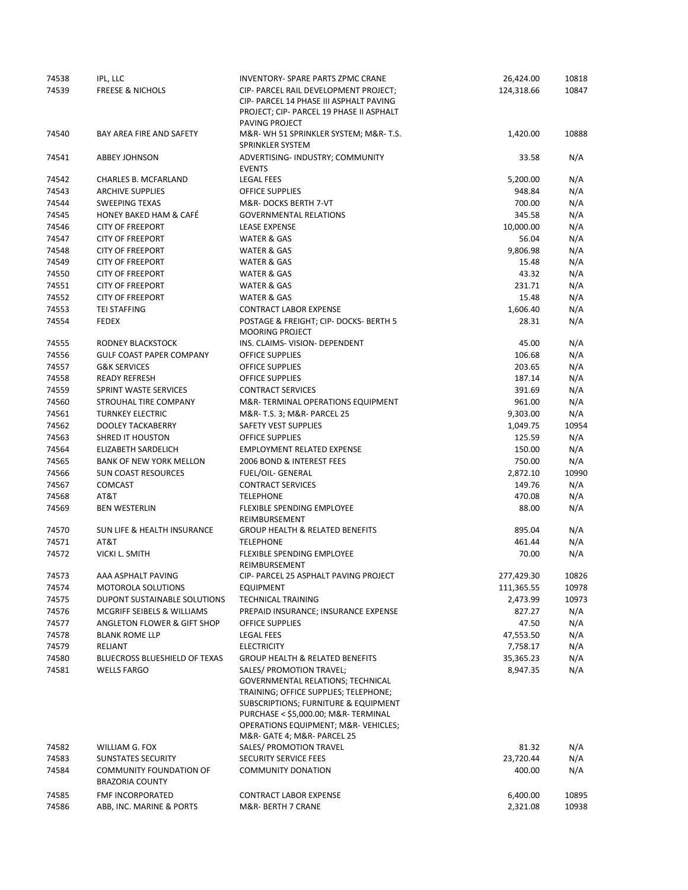| 74538 | IPL, LLC                               | <b>INVENTORY- SPARE PARTS ZPMC CRANE</b>   | 26,424.00  | 10818 |
|-------|----------------------------------------|--------------------------------------------|------------|-------|
| 74539 | <b>FREESE &amp; NICHOLS</b>            | CIP- PARCEL RAIL DEVELOPMENT PROJECT;      | 124,318.66 | 10847 |
|       |                                        | CIP- PARCEL 14 PHASE III ASPHALT PAVING    |            |       |
|       |                                        | PROJECT; CIP- PARCEL 19 PHASE II ASPHALT   |            |       |
|       |                                        | PAVING PROJECT                             |            |       |
| 74540 | BAY AREA FIRE AND SAFETY               | M&R-WH 51 SPRINKLER SYSTEM; M&R-T.S.       | 1,420.00   | 10888 |
|       |                                        | SPRINKLER SYSTEM                           |            |       |
| 74541 | <b>ABBEY JOHNSON</b>                   | ADVERTISING- INDUSTRY; COMMUNITY           | 33.58      | N/A   |
|       |                                        | <b>EVENTS</b>                              |            |       |
| 74542 | <b>CHARLES B. MCFARLAND</b>            | <b>LEGAL FEES</b>                          | 5,200.00   | N/A   |
| 74543 | <b>ARCHIVE SUPPLIES</b>                | <b>OFFICE SUPPLIES</b>                     | 948.84     | N/A   |
| 74544 | <b>SWEEPING TEXAS</b>                  | M&R-DOCKS BERTH 7-VT                       | 700.00     | N/A   |
| 74545 | HONEY BAKED HAM & CAFÉ                 | <b>GOVERNMENTAL RELATIONS</b>              | 345.58     | N/A   |
| 74546 | <b>CITY OF FREEPORT</b>                | <b>LEASE EXPENSE</b>                       | 10,000.00  | N/A   |
| 74547 | <b>CITY OF FREEPORT</b>                | <b>WATER &amp; GAS</b>                     | 56.04      | N/A   |
| 74548 | <b>CITY OF FREEPORT</b>                | <b>WATER &amp; GAS</b>                     | 9,806.98   | N/A   |
| 74549 | <b>CITY OF FREEPORT</b>                | <b>WATER &amp; GAS</b>                     | 15.48      | N/A   |
| 74550 | <b>CITY OF FREEPORT</b>                | <b>WATER &amp; GAS</b>                     | 43.32      | N/A   |
| 74551 | <b>CITY OF FREEPORT</b>                | <b>WATER &amp; GAS</b>                     | 231.71     | N/A   |
| 74552 | <b>CITY OF FREEPORT</b>                | <b>WATER &amp; GAS</b>                     | 15.48      | N/A   |
| 74553 | <b>TEI STAFFING</b>                    | <b>CONTRACT LABOR EXPENSE</b>              | 1,606.40   | N/A   |
| 74554 | <b>FEDEX</b>                           | POSTAGE & FREIGHT; CIP- DOCKS- BERTH 5     | 28.31      | N/A   |
|       |                                        | <b>MOORING PROJECT</b>                     |            |       |
| 74555 | RODNEY BLACKSTOCK                      | INS. CLAIMS- VISION- DEPENDENT             | 45.00      | N/A   |
| 74556 | <b>GULF COAST PAPER COMPANY</b>        | <b>OFFICE SUPPLIES</b>                     | 106.68     | N/A   |
| 74557 | <b>G&amp;K SERVICES</b>                | <b>OFFICE SUPPLIES</b>                     | 203.65     | N/A   |
| 74558 | <b>READY REFRESH</b>                   | <b>OFFICE SUPPLIES</b>                     | 187.14     | N/A   |
| 74559 | SPRINT WASTE SERVICES                  | <b>CONTRACT SERVICES</b>                   | 391.69     | N/A   |
| 74560 | STROUHAL TIRE COMPANY                  | M&R-TERMINAL OPERATIONS EQUIPMENT          | 961.00     | N/A   |
| 74561 | <b>TURNKEY ELECTRIC</b>                | M&R- T.S. 3; M&R- PARCEL 25                | 9,303.00   | N/A   |
| 74562 | <b>DOOLEY TACKABERRY</b>               | <b>SAFETY VEST SUPPLIES</b>                | 1,049.75   | 10954 |
| 74563 | SHRED IT HOUSTON                       | <b>OFFICE SUPPLIES</b>                     | 125.59     | N/A   |
| 74564 | ELIZABETH SARDELICH                    | <b>EMPLOYMENT RELATED EXPENSE</b>          | 150.00     | N/A   |
| 74565 | <b>BANK OF NEW YORK MELLON</b>         | 2006 BOND & INTEREST FEES                  | 750.00     | N/A   |
| 74566 | <b>SUN COAST RESOURCES</b>             | FUEL/OIL- GENERAL                          | 2,872.10   | 10990 |
| 74567 | <b>COMCAST</b>                         | <b>CONTRACT SERVICES</b>                   | 149.76     | N/A   |
| 74568 | AT&T                                   | <b>TELEPHONE</b>                           | 470.08     | N/A   |
| 74569 | <b>BEN WESTERLIN</b>                   | <b>FLEXIBLE SPENDING EMPLOYEE</b>          | 88.00      | N/A   |
|       |                                        | REIMBURSEMENT                              |            |       |
| 74570 | <b>SUN LIFE &amp; HEALTH INSURANCE</b> | <b>GROUP HEALTH &amp; RELATED BENEFITS</b> | 895.04     | N/A   |
| 74571 | AT&T                                   | <b>TELEPHONE</b>                           | 461.44     | N/A   |
| 74572 | <b>VICKI L. SMITH</b>                  | <b>FLEXIBLE SPENDING EMPLOYEE</b>          | 70.00      | N/A   |
|       |                                        | REIMBURSEMENT                              |            |       |
| 74573 | AAA ASPHALT PAVING                     | CIP- PARCEL 25 ASPHALT PAVING PROJECT      | 277,429.30 | 10826 |
| 74574 | <b>MOTOROLA SOLUTIONS</b>              | <b>EQUIPMENT</b>                           | 111,365.55 | 10978 |
| 74575 | DUPONT SUSTAINABLE SOLUTIONS           | <b>TECHNICAL TRAINING</b>                  | 2,473.99   | 10973 |
| 74576 | MCGRIFF SEIBELS & WILLIAMS             | PREPAID INSURANCE; INSURANCE EXPENSE       | 827.27     | N/A   |
| 74577 | ANGLETON FLOWER & GIFT SHOP            | OFFICE SUPPLIES                            | 47.50      | N/A   |
| 74578 | <b>BLANK ROME LLP</b>                  | <b>LEGAL FEES</b>                          | 47,553.50  | N/A   |
| 74579 | RELIANT                                | <b>ELECTRICITY</b>                         | 7,758.17   | N/A   |
| 74580 | <b>BLUECROSS BLUESHIELD OF TEXAS</b>   | <b>GROUP HEALTH &amp; RELATED BENEFITS</b> | 35,365.23  | N/A   |
| 74581 | <b>WELLS FARGO</b>                     | SALES/ PROMOTION TRAVEL;                   | 8,947.35   | N/A   |
|       |                                        | GOVERNMENTAL RELATIONS; TECHNICAL          |            |       |
|       |                                        | TRAINING; OFFICE SUPPLIES; TELEPHONE;      |            |       |
|       |                                        | SUBSCRIPTIONS; FURNITURE & EQUIPMENT       |            |       |
|       |                                        | PURCHASE < \$5,000.00; M&R- TERMINAL       |            |       |
|       |                                        | OPERATIONS EQUIPMENT; M&R-VEHICLES         |            |       |
|       |                                        | M&R- GATE 4; M&R- PARCEL 25                |            |       |
| 74582 | WILLIAM G. FOX                         | SALES/ PROMOTION TRAVEL                    | 81.32      | N/A   |
| 74583 | SUNSTATES SECURITY                     | <b>SECURITY SERVICE FEES</b>               | 23,720.44  | N/A   |
| 74584 | <b>COMMUNITY FOUNDATION OF</b>         | COMMUNITY DONATION                         | 400.00     | N/A   |
|       | <b>BRAZORIA COUNTY</b>                 |                                            |            |       |
| 74585 | FMF INCORPORATED                       | <b>CONTRACT LABOR EXPENSE</b>              | 6,400.00   | 10895 |
| 74586 | ABB, INC. MARINE & PORTS               | M&R- BERTH 7 CRANE                         | 2,321.08   | 10938 |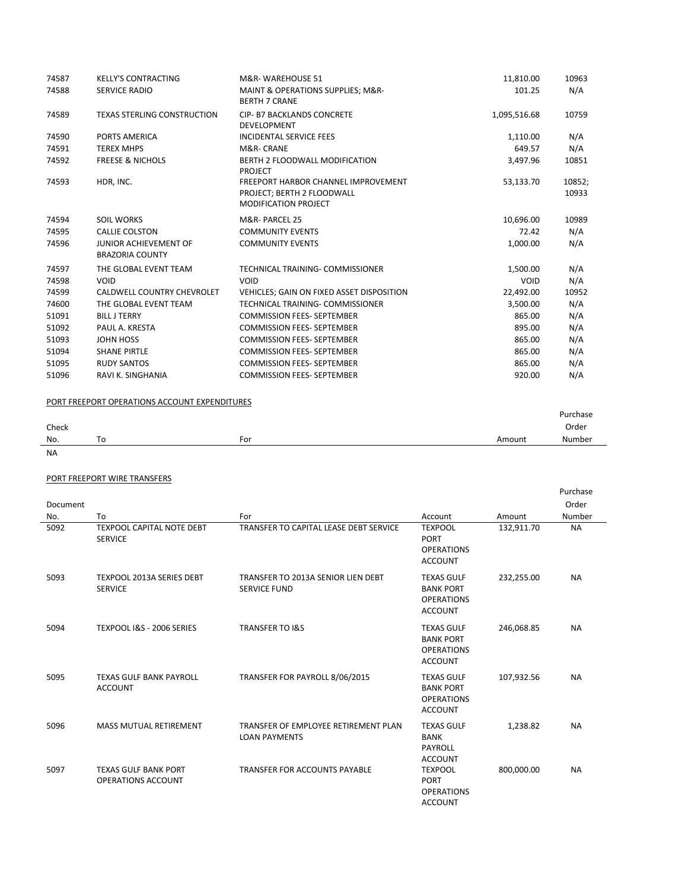| 74587 | <b>KELLY'S CONTRACTING</b>                             | M&R-WAREHOUSE 51                                                                                        | 11,810.00    | 10963           |
|-------|--------------------------------------------------------|---------------------------------------------------------------------------------------------------------|--------------|-----------------|
| 74588 | <b>SERVICE RADIO</b>                                   | MAINT & OPERATIONS SUPPLIES; M&R-<br><b>BERTH 7 CRANE</b>                                               | 101.25       | N/A             |
| 74589 | <b>TEXAS STERLING CONSTRUCTION</b>                     | CIP- B7 BACKLANDS CONCRETE<br><b>DEVELOPMENT</b>                                                        | 1,095,516.68 | 10759           |
| 74590 | PORTS AMERICA                                          | <b>INCIDENTAL SERVICE FEES</b>                                                                          | 1,110.00     | N/A             |
| 74591 | <b>TEREX MHPS</b>                                      | M&R-CRANE                                                                                               | 649.57       | N/A             |
| 74592 | <b>FREESE &amp; NICHOLS</b>                            | <b>BERTH 2 FLOODWALL MODIFICATION</b><br><b>PROJECT</b>                                                 | 3,497.96     | 10851           |
| 74593 | HDR, INC.                                              | <b>FREEPORT HARBOR CHANNEL IMPROVEMENT</b><br>PROJECT; BERTH 2 FLOODWALL<br><b>MODIFICATION PROJECT</b> | 53,133.70    | 10852;<br>10933 |
| 74594 | <b>SOIL WORKS</b>                                      | M&R-PARCEL 25                                                                                           | 10,696.00    | 10989           |
| 74595 | <b>CALLIE COLSTON</b>                                  | <b>COMMUNITY EVENTS</b>                                                                                 | 72.42        | N/A             |
| 74596 | <b>JUNIOR ACHIEVEMENT OF</b><br><b>BRAZORIA COUNTY</b> | <b>COMMUNITY EVENTS</b>                                                                                 | 1,000.00     | N/A             |
| 74597 | THE GLOBAL EVENT TEAM                                  | TECHNICAL TRAINING- COMMISSIONER                                                                        | 1,500.00     | N/A             |
| 74598 | <b>VOID</b>                                            | VOID                                                                                                    | <b>VOID</b>  | N/A             |
| 74599 | CALDWELL COUNTRY CHEVROLET                             | VEHICLES; GAIN ON FIXED ASSET DISPOSITION                                                               | 22,492.00    | 10952           |
| 74600 | THE GLOBAL EVENT TEAM                                  | TECHNICAL TRAINING- COMMISSIONER                                                                        | 3,500.00     | N/A             |
| 51091 | <b>BILL J TERRY</b>                                    | <b>COMMISSION FEES- SEPTEMBER</b>                                                                       | 865.00       | N/A             |
| 51092 | PAUL A. KRESTA                                         | <b>COMMISSION FEES- SEPTEMBER</b>                                                                       | 895.00       | N/A             |
| 51093 | JOHN HOSS                                              | <b>COMMISSION FEES- SEPTEMBER</b>                                                                       | 865.00       | N/A             |
| 51094 | <b>SHANE PIRTLE</b>                                    | <b>COMMISSION FEES- SEPTEMBER</b>                                                                       | 865.00       | N/A             |
| 51095 | <b>RUDY SANTOS</b>                                     | <b>COMMISSION FEES- SEPTEMBER</b>                                                                       | 865.00       | N/A             |
| 51096 | RAVI K. SINGHANIA                                      | <b>COMMISSION FEES- SEPTEMBER</b>                                                                       | 920.00       | N/A             |

## PORT FREEPORT OPERATIONS ACCOUNT EXPENDITURES

|       |    |     |        | Purchase |
|-------|----|-----|--------|----------|
| Check |    |     |        | Order    |
| No.   | То | For | Amount | Number   |
| NA    |    |     |        |          |

### PORT FREEPORT WIRE TRANSFERS

|          |                                                          |                                                              |                                                                              |            | Purchase  |
|----------|----------------------------------------------------------|--------------------------------------------------------------|------------------------------------------------------------------------------|------------|-----------|
| Document |                                                          |                                                              |                                                                              |            | Order     |
| No.      | To                                                       | For                                                          | Account                                                                      | Amount     | Number    |
| 5092     | <b>TEXPOOL CAPITAL NOTE DEBT</b><br><b>SERVICE</b>       | TRANSFER TO CAPITAL LEASE DEBT SERVICE                       | <b>TEXPOOL</b><br><b>PORT</b><br><b>OPERATIONS</b><br><b>ACCOUNT</b>         | 132,911.70 | <b>NA</b> |
| 5093     | <b>TEXPOOL 2013A SERIES DEBT</b><br><b>SERVICE</b>       | TRANSFER TO 2013A SENIOR LIEN DEBT<br><b>SERVICE FUND</b>    | <b>TEXAS GULF</b><br><b>BANK PORT</b><br><b>OPERATIONS</b><br><b>ACCOUNT</b> | 232,255.00 | <b>NA</b> |
| 5094     | TEXPOOL I&S - 2006 SERIES                                | <b>TRANSFER TO I&amp;S</b>                                   | <b>TEXAS GULF</b><br><b>BANK PORT</b><br><b>OPERATIONS</b><br><b>ACCOUNT</b> | 246,068.85 | <b>NA</b> |
| 5095     | <b>TEXAS GULF BANK PAYROLL</b><br><b>ACCOUNT</b>         | TRANSFER FOR PAYROLL 8/06/2015                               | <b>TEXAS GULF</b><br><b>BANK PORT</b><br><b>OPERATIONS</b><br><b>ACCOUNT</b> | 107,932.56 | <b>NA</b> |
| 5096     | <b>MASS MUTUAL RETIREMENT</b>                            | TRANSFER OF EMPLOYEE RETIREMENT PLAN<br><b>LOAN PAYMENTS</b> | <b>TEXAS GULF</b><br><b>BANK</b><br>PAYROLL<br><b>ACCOUNT</b>                | 1,238.82   | <b>NA</b> |
| 5097     | <b>TEXAS GULF BANK PORT</b><br><b>OPERATIONS ACCOUNT</b> | <b>TRANSFER FOR ACCOUNTS PAYABLE</b>                         | <b>TEXPOOL</b><br><b>PORT</b><br><b>OPERATIONS</b><br><b>ACCOUNT</b>         | 800,000.00 | <b>NA</b> |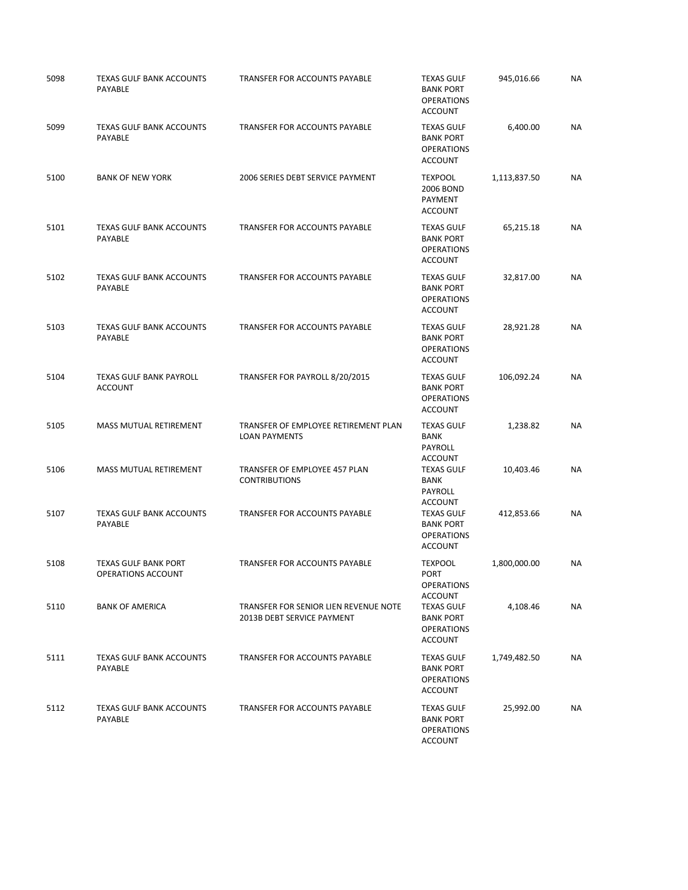| 5098 | TEXAS GULF BANK ACCOUNTS<br>PAYABLE               | TRANSFER FOR ACCOUNTS PAYABLE                                       | <b>TEXAS GULF</b><br><b>BANK PORT</b><br><b>OPERATIONS</b><br><b>ACCOUNT</b>            | 945,016.66   | <b>NA</b> |
|------|---------------------------------------------------|---------------------------------------------------------------------|-----------------------------------------------------------------------------------------|--------------|-----------|
| 5099 | <b>TEXAS GULF BANK ACCOUNTS</b><br>PAYABLE        | TRANSFER FOR ACCOUNTS PAYABLE                                       | <b>TEXAS GULF</b><br><b>BANK PORT</b><br><b>OPERATIONS</b><br><b>ACCOUNT</b>            | 6,400.00     | <b>NA</b> |
| 5100 | <b>BANK OF NEW YORK</b>                           | 2006 SERIES DEBT SERVICE PAYMENT                                    | <b>TEXPOOL</b><br>2006 BOND<br>PAYMENT<br><b>ACCOUNT</b>                                | 1,113,837.50 | <b>NA</b> |
| 5101 | <b>TEXAS GULF BANK ACCOUNTS</b><br>PAYABLE        | <b>TRANSFER FOR ACCOUNTS PAYABLE</b>                                | <b>TEXAS GULF</b><br><b>BANK PORT</b><br><b>OPERATIONS</b><br><b>ACCOUNT</b>            | 65,215.18    | <b>NA</b> |
| 5102 | <b>TEXAS GULF BANK ACCOUNTS</b><br>PAYABLE        | TRANSFER FOR ACCOUNTS PAYABLE                                       | <b>TEXAS GULF</b><br><b>BANK PORT</b><br><b>OPERATIONS</b><br><b>ACCOUNT</b>            | 32,817.00    | <b>NA</b> |
| 5103 | TEXAS GULF BANK ACCOUNTS<br><b>PAYABLE</b>        | <b>TRANSFER FOR ACCOUNTS PAYABLE</b>                                | <b>TEXAS GULF</b><br><b>BANK PORT</b><br><b>OPERATIONS</b><br><b>ACCOUNT</b>            | 28,921.28    | <b>NA</b> |
| 5104 | <b>TEXAS GULF BANK PAYROLL</b><br><b>ACCOUNT</b>  | TRANSFER FOR PAYROLL 8/20/2015                                      | <b>TEXAS GULF</b><br><b>BANK PORT</b><br><b>OPERATIONS</b><br><b>ACCOUNT</b>            | 106,092.24   | <b>NA</b> |
| 5105 | MASS MUTUAL RETIREMENT                            | TRANSFER OF EMPLOYEE RETIREMENT PLAN<br><b>LOAN PAYMENTS</b>        | <b>TEXAS GULF</b><br><b>BANK</b><br>PAYROLL<br><b>ACCOUNT</b>                           | 1,238.82     | <b>NA</b> |
| 5106 | MASS MUTUAL RETIREMENT                            | TRANSFER OF EMPLOYEE 457 PLAN<br><b>CONTRIBUTIONS</b>               | <b>TEXAS GULF</b><br><b>BANK</b><br>PAYROLL<br><b>ACCOUNT</b>                           | 10,403.46    | NA        |
| 5107 | <b>TEXAS GULF BANK ACCOUNTS</b><br>PAYABLE        | TRANSFER FOR ACCOUNTS PAYABLE                                       | <b>TEXAS GULF</b><br><b>BANK PORT</b><br><b>OPERATIONS</b><br><b>ACCOUNT</b>            | 412,853.66   | <b>NA</b> |
| 5108 | <b>TEXAS GULF BANK PORT</b><br>OPERATIONS ACCOUNT | TRANSFER FOR ACCOUNTS PAYABLE                                       | <b>TEXPOOL</b><br>PORT<br><b>OPERATIONS</b>                                             | 1,800,000.00 | NА        |
| 5110 | <b>BANK OF AMERICA</b>                            | TRANSFER FOR SENIOR LIEN REVENUE NOTE<br>2013B DEBT SERVICE PAYMENT | ACCOUNT<br><b>TEXAS GULF</b><br><b>BANK PORT</b><br><b>OPERATIONS</b><br><b>ACCOUNT</b> | 4,108.46     | NA        |
| 5111 | <b>TEXAS GULF BANK ACCOUNTS</b><br><b>PAYABLE</b> | <b>TRANSFER FOR ACCOUNTS PAYABLE</b>                                | <b>TEXAS GULF</b><br><b>BANK PORT</b><br><b>OPERATIONS</b><br><b>ACCOUNT</b>            | 1,749,482.50 | NA        |
| 5112 | <b>TEXAS GULF BANK ACCOUNTS</b><br>PAYABLE        | TRANSFER FOR ACCOUNTS PAYABLE                                       | <b>TEXAS GULF</b><br><b>BANK PORT</b><br><b>OPERATIONS</b><br><b>ACCOUNT</b>            | 25,992.00    | NA        |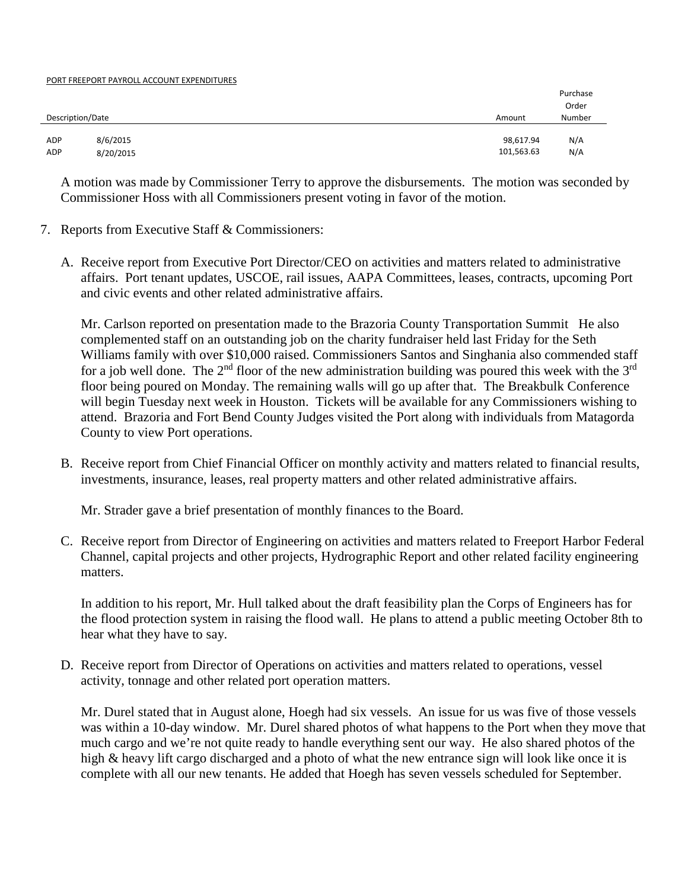#### PORT FREEPORT PAYROLL ACCOUNT EXPENDITURES

|                  |           |            | Purchase |
|------------------|-----------|------------|----------|
|                  |           |            | Order    |
| Description/Date |           | Amount     | Number   |
|                  |           |            |          |
| ADP              | 8/6/2015  | 98,617.94  | N/A      |
| ADP              | 8/20/2015 | 101,563.63 | N/A      |

A motion was made by Commissioner Terry to approve the disbursements. The motion was seconded by Commissioner Hoss with all Commissioners present voting in favor of the motion.

- 7. Reports from Executive Staff & Commissioners:
	- A. Receive report from Executive Port Director/CEO on activities and matters related to administrative affairs. Port tenant updates, USCOE, rail issues, AAPA Committees, leases, contracts, upcoming Port and civic events and other related administrative affairs.

Mr. Carlson reported on presentation made to the Brazoria County Transportation Summit He also complemented staff on an outstanding job on the charity fundraiser held last Friday for the Seth Williams family with over \$10,000 raised. Commissioners Santos and Singhania also commended staff for a job well done. The  $2<sup>nd</sup>$  floor of the new administration building was poured this week with the  $3<sup>rd</sup>$ floor being poured on Monday. The remaining walls will go up after that. The Breakbulk Conference will begin Tuesday next week in Houston. Tickets will be available for any Commissioners wishing to attend. Brazoria and Fort Bend County Judges visited the Port along with individuals from Matagorda County to view Port operations.

B. Receive report from Chief Financial Officer on monthly activity and matters related to financial results, investments, insurance, leases, real property matters and other related administrative affairs.

Mr. Strader gave a brief presentation of monthly finances to the Board.

C. Receive report from Director of Engineering on activities and matters related to Freeport Harbor Federal Channel, capital projects and other projects, Hydrographic Report and other related facility engineering matters.

In addition to his report, Mr. Hull talked about the draft feasibility plan the Corps of Engineers has for the flood protection system in raising the flood wall. He plans to attend a public meeting October 8th to hear what they have to say.

D. Receive report from Director of Operations on activities and matters related to operations, vessel activity, tonnage and other related port operation matters.

Mr. Durel stated that in August alone, Hoegh had six vessels. An issue for us was five of those vessels was within a 10-day window. Mr. Durel shared photos of what happens to the Port when they move that much cargo and we're not quite ready to handle everything sent our way. He also shared photos of the high & heavy lift cargo discharged and a photo of what the new entrance sign will look like once it is complete with all our new tenants. He added that Hoegh has seven vessels scheduled for September.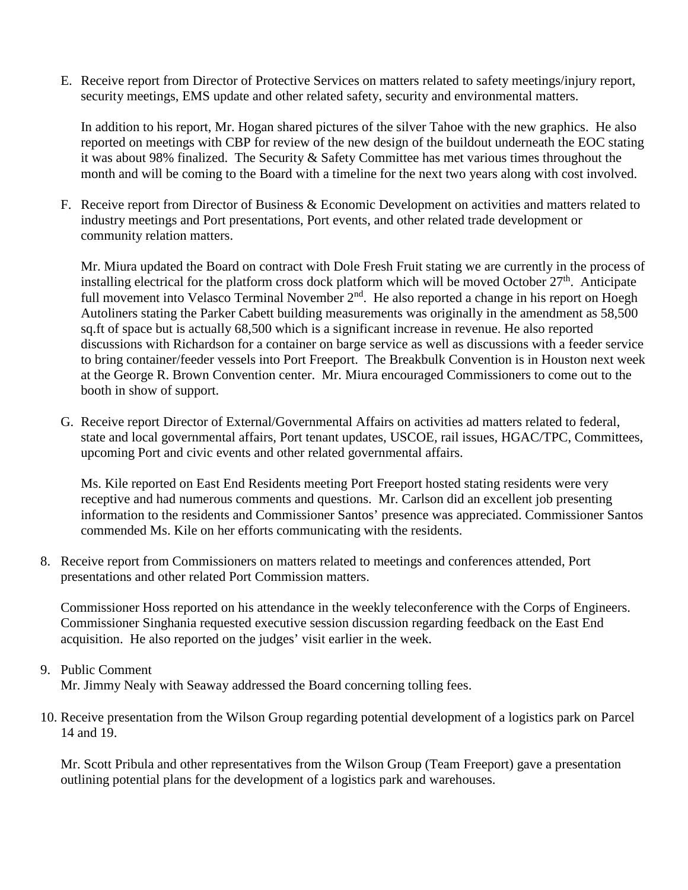E. Receive report from Director of Protective Services on matters related to safety meetings/injury report, security meetings, EMS update and other related safety, security and environmental matters.

In addition to his report, Mr. Hogan shared pictures of the silver Tahoe with the new graphics. He also reported on meetings with CBP for review of the new design of the buildout underneath the EOC stating it was about 98% finalized. The Security & Safety Committee has met various times throughout the month and will be coming to the Board with a timeline for the next two years along with cost involved.

F. Receive report from Director of Business & Economic Development on activities and matters related to industry meetings and Port presentations, Port events, and other related trade development or community relation matters.

Mr. Miura updated the Board on contract with Dole Fresh Fruit stating we are currently in the process of installing electrical for the platform cross dock platform which will be moved October  $27<sup>th</sup>$ . Anticipate full movement into Velasco Terminal November 2<sup>nd</sup>. He also reported a change in his report on Hoegh Autoliners stating the Parker Cabett building measurements was originally in the amendment as 58,500 sq.ft of space but is actually 68,500 which is a significant increase in revenue. He also reported discussions with Richardson for a container on barge service as well as discussions with a feeder service to bring container/feeder vessels into Port Freeport. The Breakbulk Convention is in Houston next week at the George R. Brown Convention center. Mr. Miura encouraged Commissioners to come out to the booth in show of support.

G. Receive report Director of External/Governmental Affairs on activities ad matters related to federal, state and local governmental affairs, Port tenant updates, USCOE, rail issues, HGAC/TPC, Committees, upcoming Port and civic events and other related governmental affairs.

Ms. Kile reported on East End Residents meeting Port Freeport hosted stating residents were very receptive and had numerous comments and questions. Mr. Carlson did an excellent job presenting information to the residents and Commissioner Santos' presence was appreciated. Commissioner Santos commended Ms. Kile on her efforts communicating with the residents.

8. Receive report from Commissioners on matters related to meetings and conferences attended, Port presentations and other related Port Commission matters.

Commissioner Hoss reported on his attendance in the weekly teleconference with the Corps of Engineers. Commissioner Singhania requested executive session discussion regarding feedback on the East End acquisition. He also reported on the judges' visit earlier in the week.

## 9. Public Comment

Mr. Jimmy Nealy with Seaway addressed the Board concerning tolling fees.

10. Receive presentation from the Wilson Group regarding potential development of a logistics park on Parcel 14 and 19.

Mr. Scott Pribula and other representatives from the Wilson Group (Team Freeport) gave a presentation outlining potential plans for the development of a logistics park and warehouses.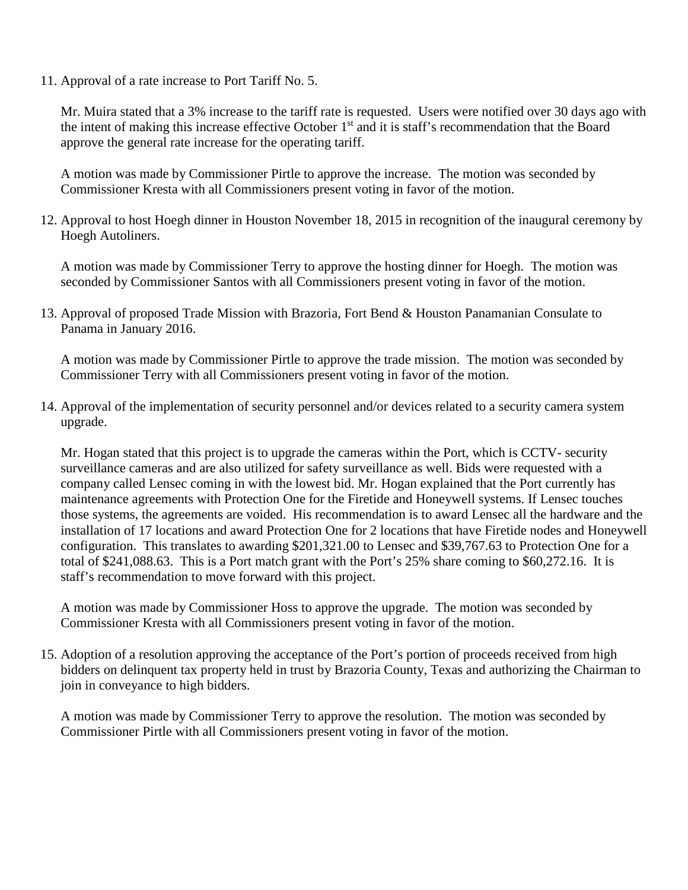11. Approval of a rate increase to Port Tariff No. 5.

Mr. Muira stated that a 3% increase to the tariff rate is requested. Users were notified over 30 days ago with the intent of making this increase effective October 1<sup>st</sup> and it is staff's recommendation that the Board approve the general rate increase for the operating tariff.

A motion was made by Commissioner Pirtle to approve the increase. The motion was seconded by Commissioner Kresta with all Commissioners present voting in favor of the motion.

12. Approval to host Hoegh dinner in Houston November 18, 2015 in recognition of the inaugural ceremony by Hoegh Autoliners.

A motion was made by Commissioner Terry to approve the hosting dinner for Hoegh. The motion was seconded by Commissioner Santos with all Commissioners present voting in favor of the motion.

13. Approval of proposed Trade Mission with Brazoria, Fort Bend & Houston Panamanian Consulate to Panama in January 2016.

A motion was made by Commissioner Pirtle to approve the trade mission. The motion was seconded by Commissioner Terry with all Commissioners present voting in favor of the motion.

14. Approval of the implementation of security personnel and/or devices related to a security camera system upgrade.

Mr. Hogan stated that this project is to upgrade the cameras within the Port, which is CCTV- security surveillance cameras and are also utilized for safety surveillance as well. Bids were requested with a company called Lensec coming in with the lowest bid. Mr. Hogan explained that the Port currently has maintenance agreements with Protection One for the Firetide and Honeywell systems. If Lensec touches those systems, the agreements are voided. His recommendation is to award Lensec all the hardware and the installation of 17 locations and award Protection One for 2 locations that have Firetide nodes and Honeywell configuration. This translates to awarding \$201,321.00 to Lensec and \$39,767.63 to Protection One for a total of \$241,088.63. This is a Port match grant with the Port's 25% share coming to \$60,272.16. It is staff's recommendation to move forward with this project.

A motion was made by Commissioner Hoss to approve the upgrade. The motion was seconded by Commissioner Kresta with all Commissioners present voting in favor of the motion.

15. Adoption of a resolution approving the acceptance of the Port's portion of proceeds received from high bidders on delinquent tax property held in trust by Brazoria County, Texas and authorizing the Chairman to join in conveyance to high bidders.

A motion was made by Commissioner Terry to approve the resolution. The motion was seconded by Commissioner Pirtle with all Commissioners present voting in favor of the motion.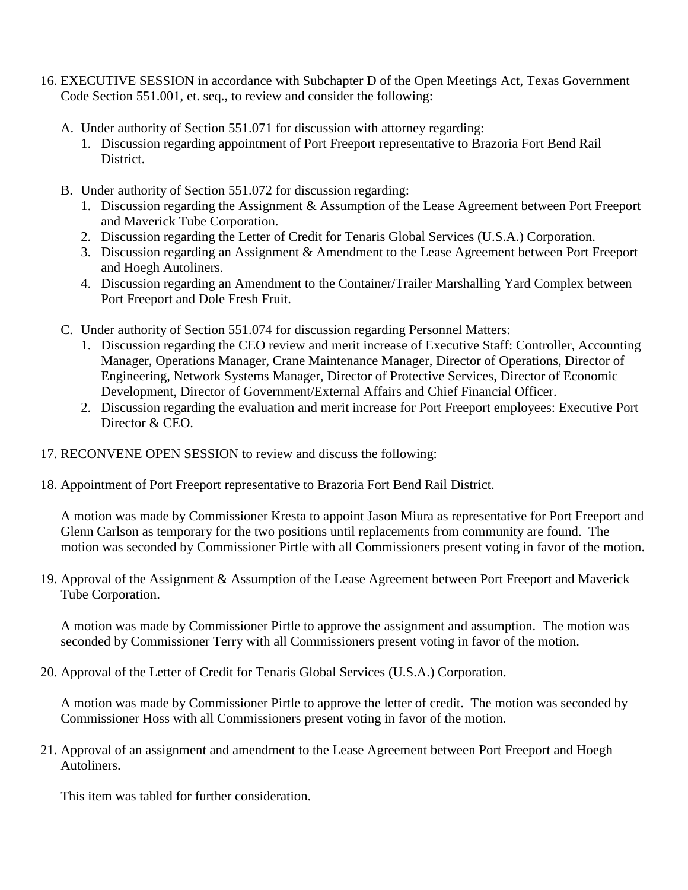- 16. EXECUTIVE SESSION in accordance with Subchapter D of the Open Meetings Act, Texas Government Code Section 551.001, et. seq., to review and consider the following:
	- A. Under authority of Section 551.071 for discussion with attorney regarding:
		- 1. Discussion regarding appointment of Port Freeport representative to Brazoria Fort Bend Rail District.
	- B. Under authority of Section 551.072 for discussion regarding:
		- 1. Discussion regarding the Assignment & Assumption of the Lease Agreement between Port Freeport and Maverick Tube Corporation.
		- 2. Discussion regarding the Letter of Credit for Tenaris Global Services (U.S.A.) Corporation.
		- 3. Discussion regarding an Assignment & Amendment to the Lease Agreement between Port Freeport and Hoegh Autoliners.
		- 4. Discussion regarding an Amendment to the Container/Trailer Marshalling Yard Complex between Port Freeport and Dole Fresh Fruit.
	- C. Under authority of Section 551.074 for discussion regarding Personnel Matters:
		- 1. Discussion regarding the CEO review and merit increase of Executive Staff: Controller, Accounting Manager, Operations Manager, Crane Maintenance Manager, Director of Operations, Director of Engineering, Network Systems Manager, Director of Protective Services, Director of Economic Development, Director of Government/External Affairs and Chief Financial Officer.
		- 2. Discussion regarding the evaluation and merit increase for Port Freeport employees: Executive Port Director & CEO.
- 17. RECONVENE OPEN SESSION to review and discuss the following:
- 18. Appointment of Port Freeport representative to Brazoria Fort Bend Rail District.

A motion was made by Commissioner Kresta to appoint Jason Miura as representative for Port Freeport and Glenn Carlson as temporary for the two positions until replacements from community are found. The motion was seconded by Commissioner Pirtle with all Commissioners present voting in favor of the motion.

19. Approval of the Assignment & Assumption of the Lease Agreement between Port Freeport and Maverick Tube Corporation.

A motion was made by Commissioner Pirtle to approve the assignment and assumption. The motion was seconded by Commissioner Terry with all Commissioners present voting in favor of the motion.

20. Approval of the Letter of Credit for Tenaris Global Services (U.S.A.) Corporation.

A motion was made by Commissioner Pirtle to approve the letter of credit. The motion was seconded by Commissioner Hoss with all Commissioners present voting in favor of the motion.

21. Approval of an assignment and amendment to the Lease Agreement between Port Freeport and Hoegh Autoliners.

This item was tabled for further consideration.